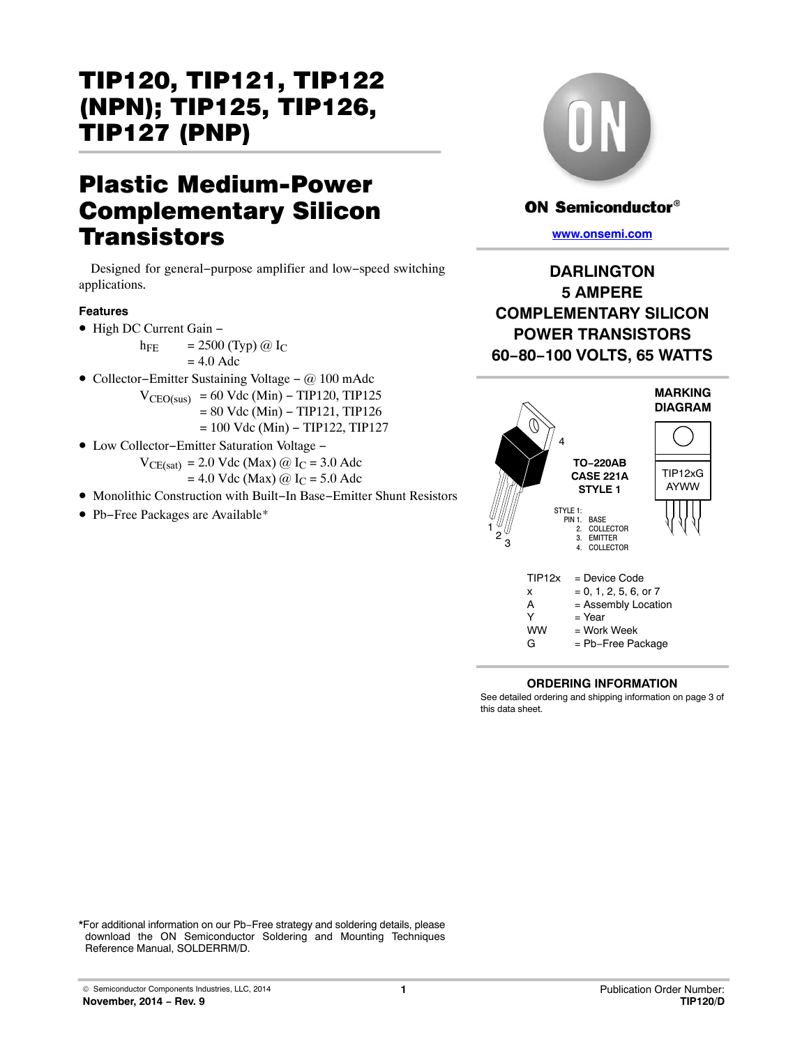# Plastic Medium-Power Complementary Silicon **Transistors**

Designed for general−purpose amplifier and low−speed switching applications.

### **Features**

• High DC Current Gain −

h<sub>FE</sub> = 2500 (Typ)  $@$  I<sub>C</sub>  $= 4.0$  Adc

- Collector−Emitter Sustaining Voltage − @ 100 mAdc
	- $V_{\text{CEO(sus)}}$  = 60 Vdc (Min) TIP120, TIP125
		- = 80 Vdc (Min) − TIP121, TIP126
		- = 100 Vdc (Min) − TIP122, TIP127
- Low Collector−Emitter Saturation Voltage −
	- $V_{\text{CE(sat)}}$  = 2.0 Vdc (Max) @ I<sub>C</sub> = 3.0 Adc
	- $= 4.0$  Vdc (Max)  $@$  I<sub>C</sub> = 5.0 Adc
- Monolithic Construction with Built−In Base−Emitter Shunt Resistors
- Pb−Free Packages are Available\*



## **ON Semiconductor®**

**[www.onsemi.com]( http://www.onsemi.com/)**

**DARLINGTON 5 AMPERE COMPLEMENTARY SILICON POWER TRANSISTORS 60−80−100 VOLTS, 65 WATTS**



### **ORDERING INFORMATION**

See detailed ordering and shipping information on page [3](#page-2-0) of this data sheet.

\*For additional information on our Pb−Free strategy and soldering details, please download the ON Semiconductor Soldering and Mounting Techniques Reference Manual, SOLDERRM/D.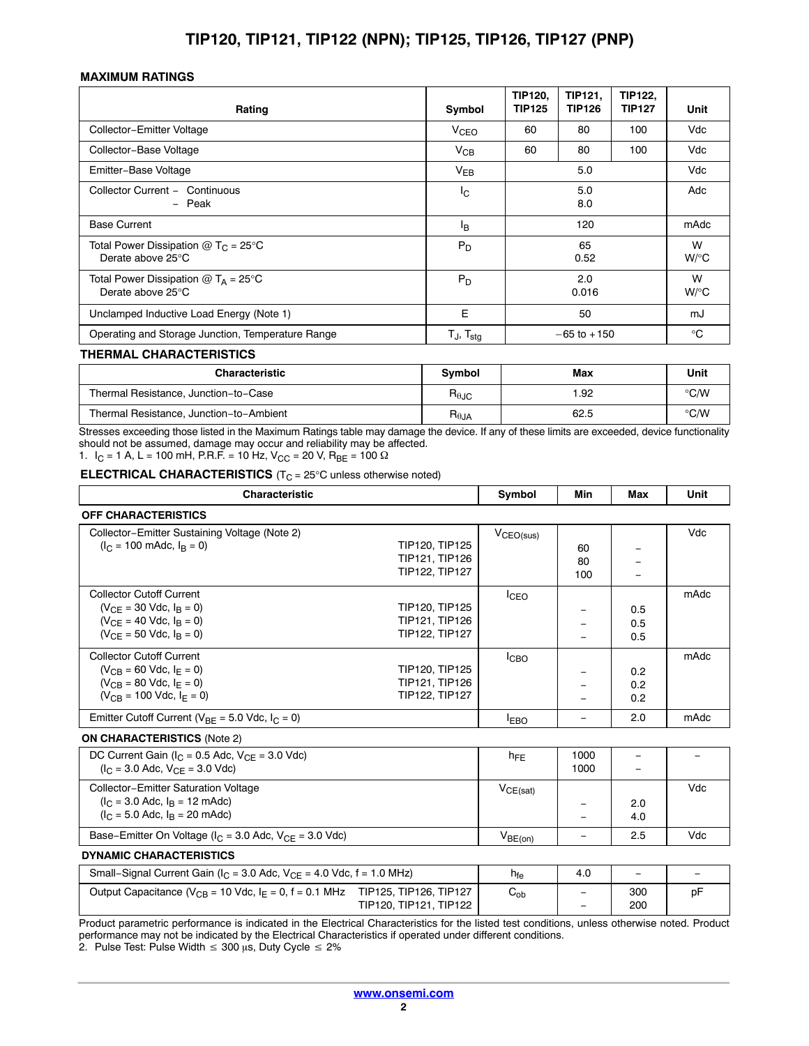#### **MAXIMUM RATINGS**

| Rating                                                               | Symbol                   | <b>TIP120,</b><br><b>TIP125</b> | TIP121,<br><b>TIP126</b> | <b>TIP122.</b><br><b>TIP127</b> | Unit         |
|----------------------------------------------------------------------|--------------------------|---------------------------------|--------------------------|---------------------------------|--------------|
| Collector-Emitter Voltage                                            | V <sub>CEO</sub>         | 60                              | 80                       | 100                             | Vdc          |
| Collector-Base Voltage                                               | $V_{CB}$                 | 60                              | 80                       | 100                             | Vdc          |
| Emitter-Base Voltage                                                 | $V_{EB}$                 |                                 | 5.0                      |                                 | Vdc          |
| Collector Current - Continuous<br>- Peak                             | I <sub>C</sub>           |                                 | 5.0<br>8.0               |                                 | Adc          |
| <b>Base Current</b>                                                  | Iв                       |                                 | 120                      |                                 | mAdc         |
| Total Power Dissipation @ T <sub>C</sub> = 25°C<br>Derate above 25°C | $P_D$                    |                                 | 65<br>0.52               |                                 | W<br>$W$ /°C |
| Total Power Dissipation $@T_A = 25^\circ C$<br>Derate above 25°C     | $P_D$                    |                                 | 2.0<br>0.016             |                                 | W<br>$W$ /°C |
| Unclamped Inductive Load Energy (Note 1)                             | E                        |                                 | 50                       |                                 | mJ           |
| Operating and Storage Junction, Temperature Range                    | $T_J$ , $T_{\text{stg}}$ |                                 | $-65$ to $+150$          |                                 | $^{\circ}$ C |

#### **THERMAL CHARACTERISTICS**

| <b>Characteristic</b>                   | <b>Symbol</b>                    | Max  | Unit |
|-----------------------------------------|----------------------------------|------|------|
| Thermal Resistance, Junction-to-Case    | $\mathsf{R}_{\theta\text{JC}}$   | .92  | ℃/W  |
| Thermal Resistance, Junction-to-Ambient | $\mathsf{R}_{\theta\mathsf{JA}}$ | 62.5 | ℃⁄W  |

Stresses exceeding those listed in the Maximum Ratings table may damage the device. If any of these limits are exceeded, device functionality should not be assumed, damage may occur and reliability may be affected.

1.  $I_C = 1$  A, L = 100 mH, P.R.F. = 10 Hz, V<sub>CC</sub> = 20 V, R<sub>BE</sub> = 100  $\Omega$ 

**ELECTRICAL CHARACTERISTICS** (T<sub>C</sub> = 25°C unless otherwise noted)

| <b>Characteristic</b>      | Svmbol | Min | Max | Unit |
|----------------------------|--------|-----|-----|------|
| <b>OFF CHARACTERISTICS</b> |        |     |     |      |

| Collector-Emitter Sustaining Voltage (Note 2)           |                |                       |     |     | Vdc  |
|---------------------------------------------------------|----------------|-----------------------|-----|-----|------|
| $(I_C = 100 \text{ m}$ Adc, $I_B = 0$ )                 | TIP120, TIP125 | $V_{\text{CEO(sus)}}$ |     |     |      |
|                                                         |                |                       | 60  |     |      |
|                                                         | TIP121, TIP126 |                       | 80  |     |      |
|                                                         | TIP122, TIP127 |                       | 100 |     |      |
| <b>Collector Cutoff Current</b>                         |                | <b>ICEO</b>           |     |     | mAdc |
| $(V_{CF} = 30$ Vdc, $I_B = 0$ )                         | TIP120, TIP125 |                       |     | 0.5 |      |
| $(V_{CF} = 40$ Vdc, $I_B = 0$ )                         | TIP121, TIP126 |                       |     | 0.5 |      |
| $(V_{CE} = 50$ Vdc, $I_R = 0$ )                         | TIP122, TIP127 |                       |     | 0.5 |      |
| <b>Collector Cutoff Current</b>                         |                | <b>I</b> CBO          |     |     | mAdc |
| $(V_{CR} = 60$ Vdc, $I_F = 0$ )                         | TIP120, TIP125 |                       |     | 0.2 |      |
| $(V_{CR} = 80$ Vdc, $I_F = 0$ )                         | TIP121, TIP126 |                       |     | 0.2 |      |
| $(V_{CR} = 100$ Vdc, $I_F = 0$ )                        | TIP122, TIP127 |                       |     | 0.2 |      |
| Emitter Cutoff Current ( $V_{BF}$ = 5.0 Vdc, $I_C$ = 0) |                | <b>EBO</b>            |     | 2.0 | mAdc |
| <b>ON CHARACTERISTICS (Note 2)</b>                      |                |                       |     |     |      |

| DC Current Gain ( $I_C$ = 0.5 Adc, $V_{CF}$ = 3.0 Vdc)<br>$(I_C = 3.0$ Adc, $V_{CF} = 3.0$ Vdc)                        | $n_{FE}$            | 1000<br>1000 |            |     |
|------------------------------------------------------------------------------------------------------------------------|---------------------|--------------|------------|-----|
| <b>Collector-Emitter Saturation Voltage</b><br>$(I_C = 3.0$ Adc, $I_B = 12$ mAdc)<br>$I_C = 5.0$ Adc, $I_R = 20$ mAdc) | VCE(sat)            | -            | 2.0<br>4.0 | Vdc |
| Base-Emitter On Voltage ( $I_C$ = 3.0 Adc, $V_{CF}$ = 3.0 Vdc)                                                         | V <sub>BE(on)</sub> |              | 2.5        | Vdc |

#### **DYNAMIC CHARACTERISTICS**

| Small–Signal Current Gain ( $I_C$ = 3.0 Adc, $V_{CF}$ = 4.0 Vdc, f = 1.0 MHz)                                      | $h_{\text{fe}}$            | 4.0                                                  | $\overline{\phantom{0}}$ | $\overline{\phantom{0}}$ |
|--------------------------------------------------------------------------------------------------------------------|----------------------------|------------------------------------------------------|--------------------------|--------------------------|
| TIP125, TIP126, TIP127<br>Output Capacitance ( $V_{CB}$ = 10 Vdc, $I_E$ = 0, f = 0.1 MHz<br>TIP120, TIP121, TIP122 | $\mathsf{v}_{\mathsf{ob}}$ | $\overline{\phantom{a}}$<br>$\overline{\phantom{0}}$ | 300<br>200               | рF                       |

Product parametric performance is indicated in the Electrical Characteristics for the listed test conditions, unless otherwise noted. Product performance may not be indicated by the Electrical Characteristics if operated under different conditions.

2. Pulse Test: Pulse Width  $\leq 300$   $\mu$ s, Duty Cycle  $\leq 2\%$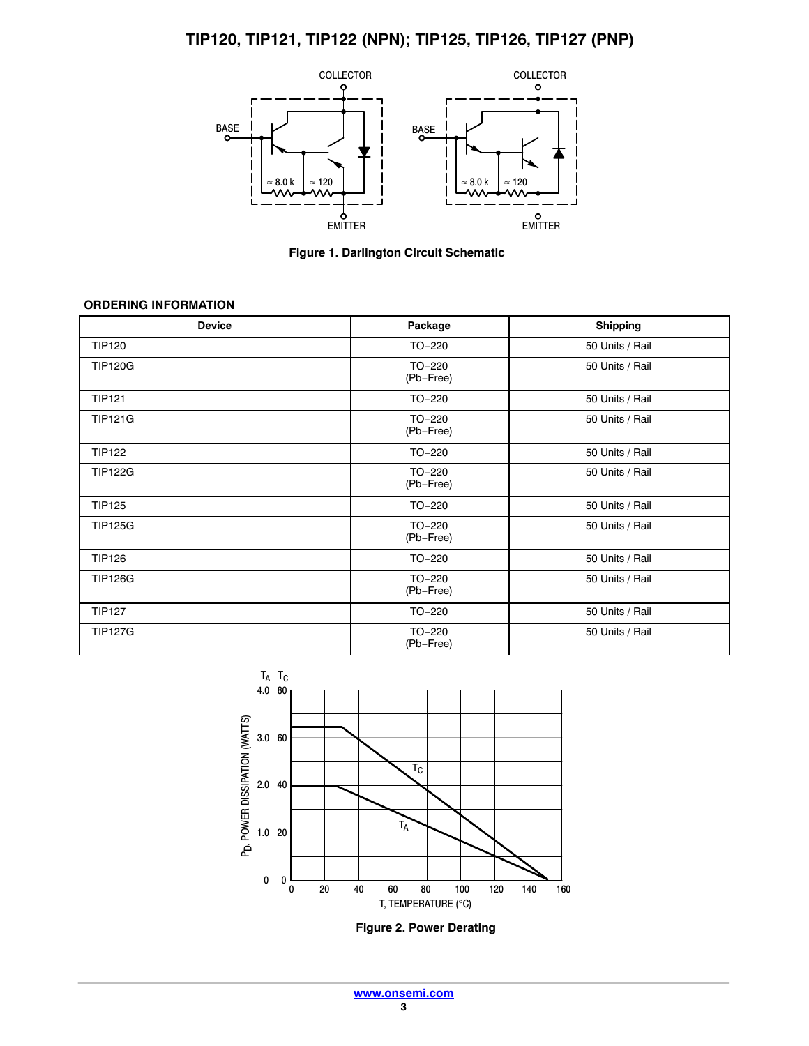<span id="page-2-0"></span>

**Figure 1. Darlington Circuit Schematic**

### **ORDERING INFORMATION**

| <b>Device</b>  | Package             | <b>Shipping</b> |
|----------------|---------------------|-----------------|
| <b>TIP120</b>  | TO-220              | 50 Units / Rail |
| <b>TIP120G</b> | TO-220<br>(Pb-Free) | 50 Units / Rail |
| <b>TIP121</b>  | TO-220              | 50 Units / Rail |
| <b>TIP121G</b> | TO-220<br>(Pb-Free) | 50 Units / Rail |
| <b>TIP122</b>  | TO-220              | 50 Units / Rail |
| <b>TIP122G</b> | TO-220<br>(Pb-Free) | 50 Units / Rail |
| <b>TIP125</b>  | TO-220              | 50 Units / Rail |
| <b>TIP125G</b> | TO-220<br>(Pb-Free) | 50 Units / Rail |
| <b>TIP126</b>  | TO-220              | 50 Units / Rail |
| <b>TIP126G</b> | TO-220<br>(Pb-Free) | 50 Units / Rail |
| <b>TIP127</b>  | TO-220              | 50 Units / Rail |
| <b>TIP127G</b> | TO-220<br>(Pb-Free) | 50 Units / Rail |



**Figure 2. Power Derating**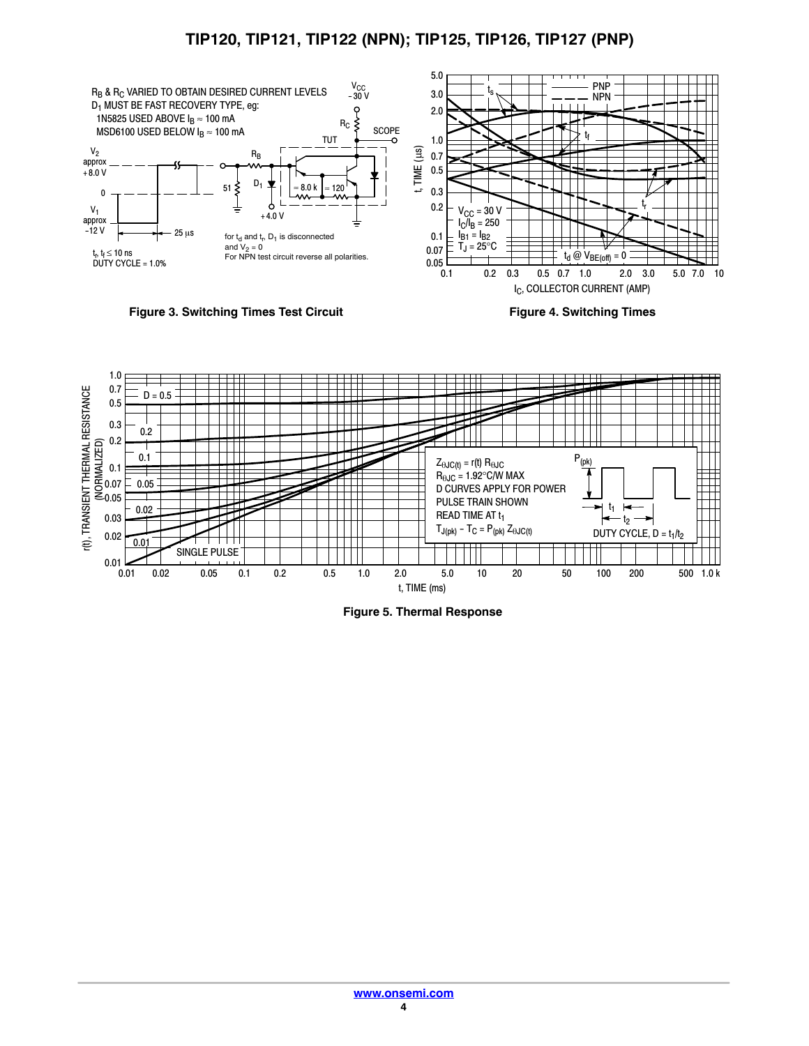<span id="page-3-0"></span>

**Figure 3. Switching Times Test Circuit**

**Figure 4. Switching Times**



**Figure 5. Thermal Response**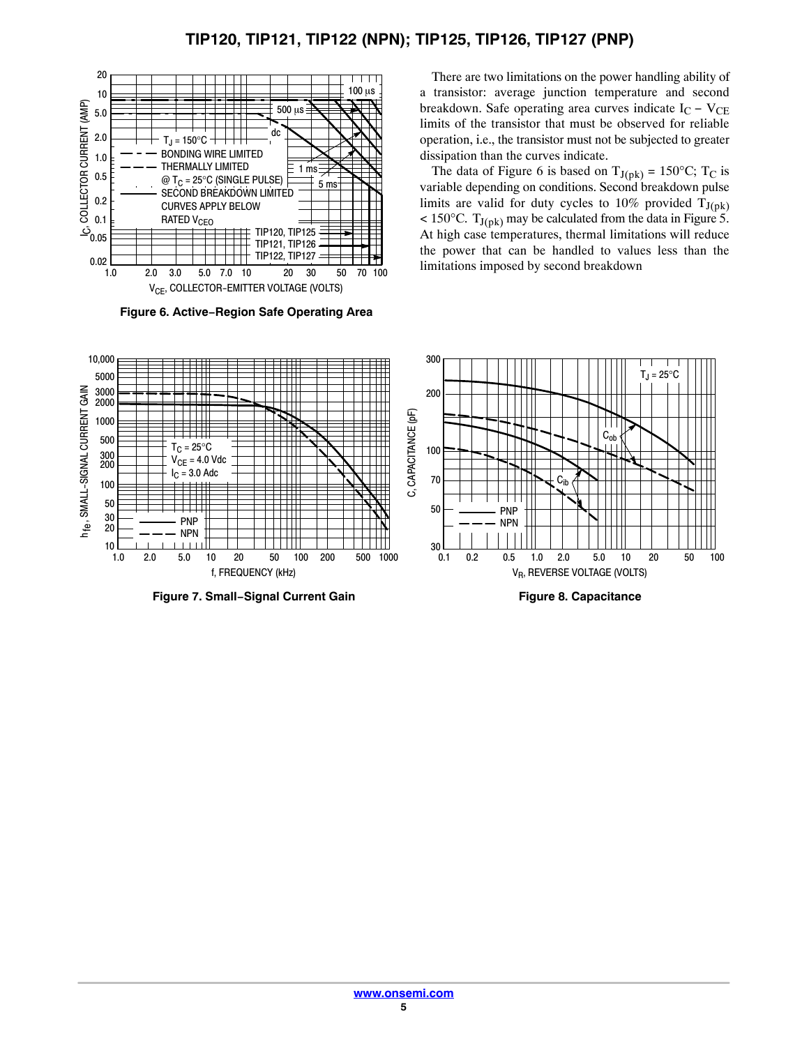

**Figure 6. Active−Region Safe Operating Area**

There are two limitations on the power handling ability of a transistor: average junction temperature and second breakdown. Safe operating area curves indicate  $I_C - V_{CE}$ limits of the transistor that must be observed for reliable operation, i.e., the transistor must not be subjected to greater dissipation than the curves indicate.

The data of Figure 6 is based on  $T_{J(pk)} = 150^{\circ}C$ ; T<sub>C</sub> is variable depending on conditions. Second breakdown pulse limits are valid for duty cycles to 10% provided  $T_{J(pk)}$  $< 150^{\circ}$ C. T<sub>J(pk)</sub> may be calculated from the data in Figure [5.](#page-3-0) At high case temperatures, thermal limitations will reduce the power that can be handled to values less than the limitations imposed by second breakdown



**Figure 7. Small−Signal Current Gain**

**Figure 8. Capacitance**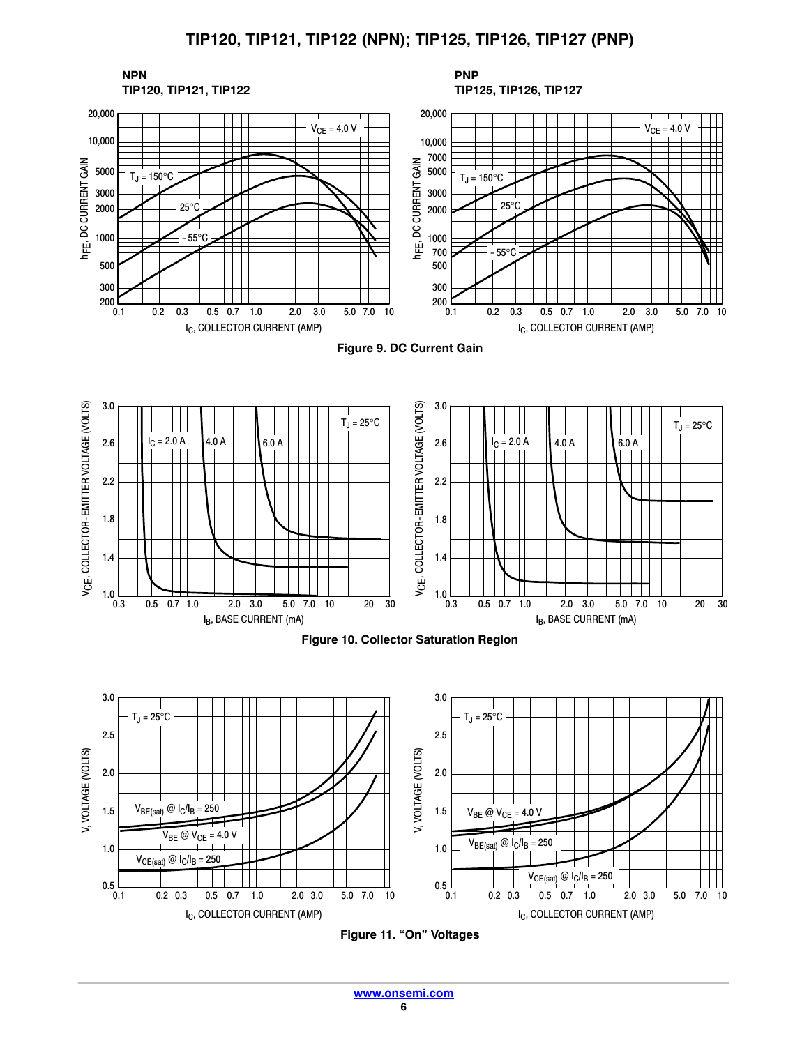

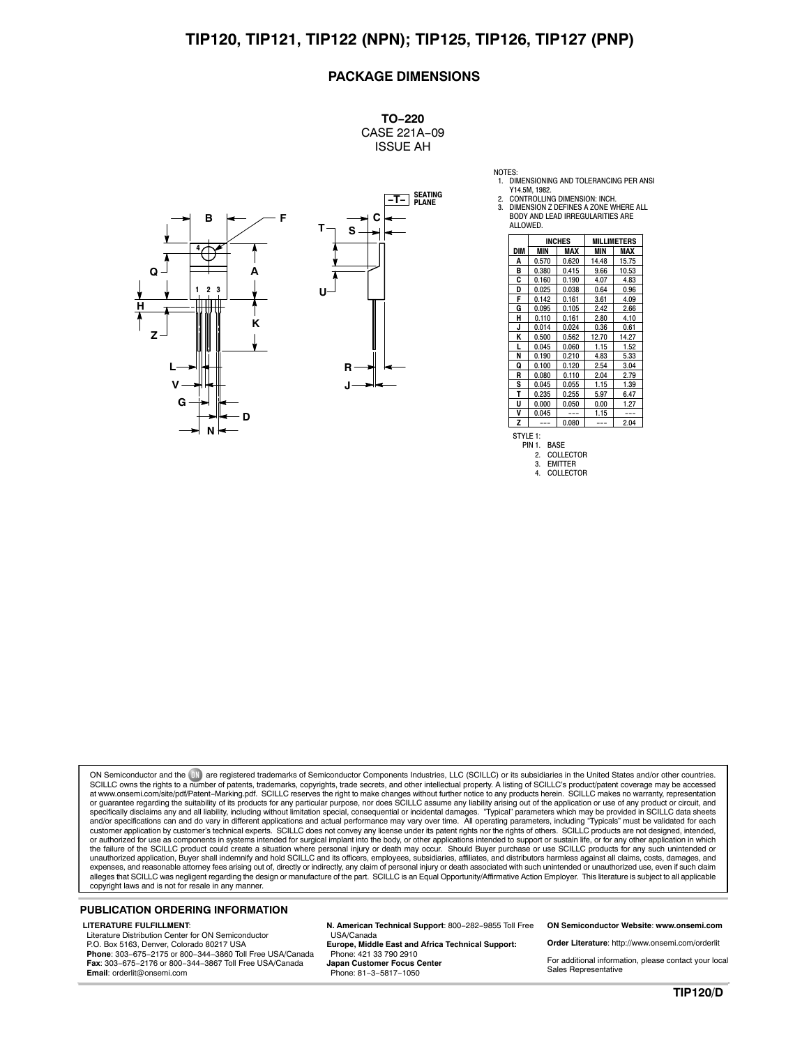#### **PACKAGE DIMENSIONS**

**TO−220** CASE 221A−09 ISSUE AH



|     | <b>INCHES</b> |       |            | <b>MILLIMETERS</b> |  |
|-----|---------------|-------|------------|--------------------|--|
| DIM | <b>MIN</b>    | MAX   | <b>MIN</b> | <b>MAX</b>         |  |
| Α   | 0.570         | 0.620 | 14.48      | 15.75              |  |
| В   | 0.380         | 0.415 | 9.66       | 10.53              |  |
| C   | 0.160         | 0.190 | 4.07       | 4.83               |  |
| D   | 0.025         | 0.038 | 0.64       | 0.96               |  |
| F   | 0.142         | 0.161 | 3.61       | 4.09               |  |
| G   | 0.095         | 0.105 | 2.42       | 2.66               |  |
| н   | 0.110         | 0.161 | 2.80       | 4.10               |  |
| J   | 0.014         | 0.024 | 0.36       | 0.61               |  |
| ĸ   | 0.500         | 0.562 | 12.70      | 14.27              |  |
| L   | 0.045         | 0.060 | 1.15       | 1.52               |  |
| N   | 0.190         | 0.210 | 4.83       | 5.33               |  |
| Q   | 0.100         | 0.120 | 2.54       | 3.04               |  |
| R   | 0.080         | 0.110 | 2.04       | 2.79               |  |
| S   | 0.045         | 0.055 | 1.15       | 1.39               |  |
| т   | 0.235         | 0.255 | 5.97       | 6.47               |  |
| U   | 0.000         | 0.050 | 0.00       | 1.27               |  |
| ٧   | 0.045         | ---   | 1.15       | ---                |  |
| Z   |               | 0.080 | ---        | 2.04               |  |

3. EMITTER<br>4. COLLECT **COLLECTOR** 

1. DIMENSIONING AND TOLERANCING PER ANSI Y14.5M, 1982. 2. CONTROLLING DIMENSION: INCH.

NOTES:

ON Semiconductor and the UN are registered trademarks of Semiconductor Components Industries, LLC (SCILLC) or its subsidiaries in the United States and/or other countries.<br>SCILLC owns the rights to a number of patents, tra at [www.onsemi.com/site/pdf/Patent](http://www.onsemi.com/site/pdf/Patent-Marking.pdf)–Marking.pdf. SCILLC reserves the right to make changes without further notice to any products herein. SCILLC makes no warranty, representation<br>or guarantee regarding the suitability of its specifically disclaims any and all liability, including without limitation special, consequential or incidental damages. "Typical" parameters which may be provided in SCILLC data sheets<br>and/or specification can and do var or authorized for use as components in systems intended for surgical implant into the body, or other applications intended to support or sustain life, or for any other application in which the failure of the SCILLC product could create a situation where personal injury or death may occur. Should Buyer purchase or use SCILLC products for any such unintended or<br>unauthorized application, Buyer shall indemnify a expenses, and reasonable attorney fees arising out of, directly or indirectly, any claim of personal injury or death associated with such unintended or unauthorized use, even if such claim<br>alleges that SCILLC was negligent

#### **PUBLICATION ORDERING INFORMATION**

#### **LITERATURE FULFILLMENT**:

Literature Distribution Center for ON Semiconductor P.O. Box 5163, Denver, Colorado 80217 USA **Phone**: 303−675−2175 or 800−344−3860 Toll Free USA/Canada **Fax**: 303−675−2176 or 800−344−3867 Toll Free USA/Canada **Email**: orderlit@onsemi.com

**N. American Technical Support**: 800−282−9855 Toll Free USA/Canada **Europe, Middle East and Africa Technical Support:**

Phone: 421 33 790 2910 **Japan Customer Focus Center** Phone: 81−3−5817−1050

**ON Semiconductor Website**: **www.onsemi.com**

**Order Literature**: http://www.onsemi.com/orderlit

For additional information, please contact your local Sales Representative